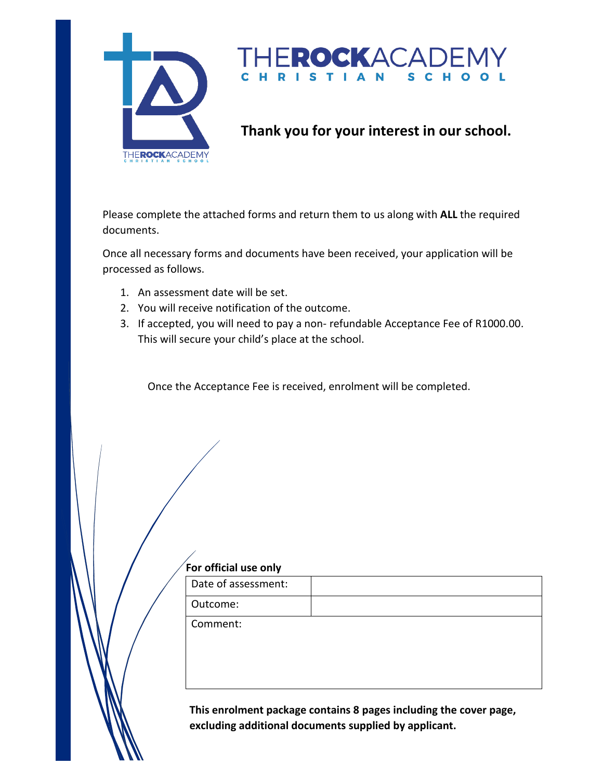

#### ROCKACADE S C H **RISTIAN**

## **Thank you for your interest in our school.**

Please complete the attached forms and return them to us along with **ALL** the required documents.

Once all necessary forms and documents have been received, your application will be processed as follows.

- 1. An assessment date will be set.
- 2. You will receive notification of the outcome.
- 3. If accepted, you will need to pay a non- refundable Acceptance Fee of R1000.00. This will secure your child's place at the school.

Once the Acceptance Fee is received, enrolment will be completed.

#### **For official use only**

| Date of assessment: |  |
|---------------------|--|
| Outcome:            |  |

Comment:

**This enrolment package contains 8 pages including the cover page, excluding additional documents supplied by applicant.**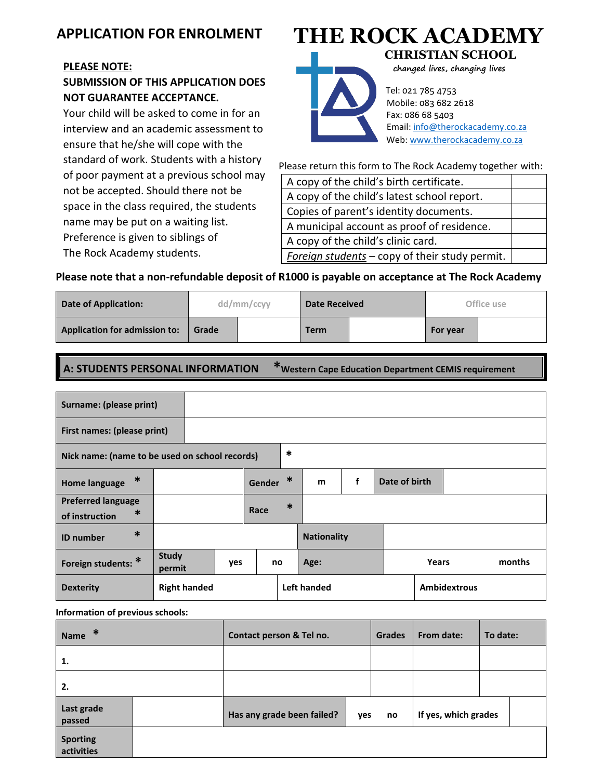## **APPLICATION FOR ENROLMENT**

#### **PLEASE NOTE:**

## **SUBMISSION OF THIS APPLICATION DOES NOT GUARANTEE ACCEPTANCE.**

Your child will be asked to come in for an interview and an academic assessment to ensure that he/she will cope with the standard of work. Students with a history of poor payment at a previous school may not be accepted. Should there not be space in the class required, the students name may be put on a waiting list. Preference is given to siblings of The Rock Academy students. space in the class required, the si nan<br>2

**NOT GUARANTEE ACCEPTANCE.**

interview and an academic assessment to

# **THE ROCK ACADEMY**



 **CHRISTIAN SCHOOL changed lives, changing lives**

 Tel: 021 785 4753 Mobile: 083 682 2618 Fax: 086 68 5403 Email[: info@therockacademy.co.za](mailto:info@therockacademy.co.za) Web[: www.therockacademy.co.za](http://www.therockacademy.co.za/)

Please return this form to The Rock Academy together with:

| A copy of the child's birth certificate.       |  |
|------------------------------------------------|--|
| A copy of the child's latest school report.    |  |
| Copies of parent's identity documents.         |  |
| A municipal account as proof of residence.     |  |
| A copy of the child's clinic card.             |  |
| Foreign students - copy of their study permit. |  |

## **Please note that a non-refundable deposit of R1000 is payable on accep[tance at The Rock Academ](mailto:info@therockacademy.co.za)y**

| Date of Application:                 |       | dd/mm/ccyy | <b>Date Received</b> |  | Office use |  |
|--------------------------------------|-------|------------|----------------------|--|------------|--|
| <b>Application for admission to:</b> | Grade |            | <b>Term</b>          |  | For year   |  |

**A: STUDENTS PERSONAL INFORMATION \*Western Cape Education Department CEMIS requirement** A: STUDENTS PERSONAL INFORMATION

| Surname: (please print)                               |                        |     |        |        |                    |   |               |       |                     |        |
|-------------------------------------------------------|------------------------|-----|--------|--------|--------------------|---|---------------|-------|---------------------|--------|
| First names: (please print)                           |                        |     |        |        |                    |   |               |       |                     |        |
| Nick name: (name to be used on school records)        |                        |     |        | $\ast$ |                    |   |               |       |                     |        |
| $\ast$<br><b>Home language</b>                        |                        |     | Gender | ∗      | m                  | f | Date of birth |       |                     |        |
| <b>Preferred language</b><br>$\ast$<br>of instruction |                        |     | Race   | $\ast$ |                    |   |               |       |                     |        |
| $\ast$<br><b>ID</b> number                            |                        |     |        |        | <b>Nationality</b> |   |               |       |                     |        |
| Foreign students: *                                   | <b>Study</b><br>permit | yes | no     |        | Age:               |   |               | Years |                     | months |
| <b>Dexterity</b>                                      | <b>Right handed</b>    |     |        |        | Left handed        |   |               |       | <b>Ambidextrous</b> |        |

**Information of previous schools:**

| ∗<br><b>Name</b>              | Contact person & Tel no.   |     | <b>Grades</b> | From date:           | To date: |  |
|-------------------------------|----------------------------|-----|---------------|----------------------|----------|--|
| 1.                            |                            |     |               |                      |          |  |
| 2.                            |                            |     |               |                      |          |  |
| Last grade<br>passed          | Has any grade been failed? | yes | no            | If yes, which grades |          |  |
| <b>Sporting</b><br>activities |                            |     |               |                      |          |  |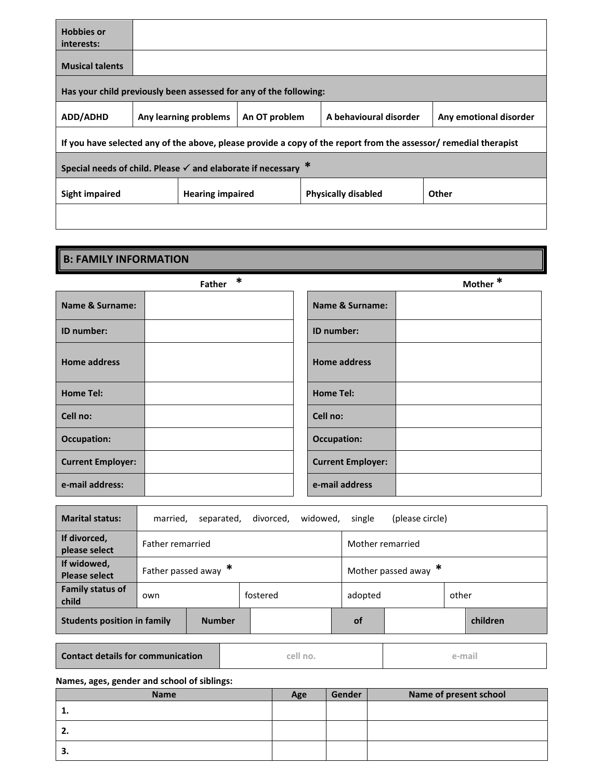| <b>Hobbies or</b><br>interests:                                            |                                                                                            |  |  |                            |                                                                                                                  |  |  |  |
|----------------------------------------------------------------------------|--------------------------------------------------------------------------------------------|--|--|----------------------------|------------------------------------------------------------------------------------------------------------------|--|--|--|
| <b>Musical talents</b>                                                     |                                                                                            |  |  |                            |                                                                                                                  |  |  |  |
| Has your child previously been assessed for any of the following:          |                                                                                            |  |  |                            |                                                                                                                  |  |  |  |
| <b>ADD/ADHD</b>                                                            | A behavioural disorder<br>Any learning problems<br>An OT problem<br>Any emotional disorder |  |  |                            |                                                                                                                  |  |  |  |
|                                                                            |                                                                                            |  |  |                            | If you have selected any of the above, please provide a copy of the report from the assessor/ remedial therapist |  |  |  |
| Special needs of child. Please $\checkmark$ and elaborate if necessary $*$ |                                                                                            |  |  |                            |                                                                                                                  |  |  |  |
| <b>Hearing impaired</b><br>Sight impaired                                  |                                                                                            |  |  | <b>Physically disabled</b> | Other                                                                                                            |  |  |  |
|                                                                            |                                                                                            |  |  |                            |                                                                                                                  |  |  |  |

# **B: FAMILY INFORMATION Father \* Mother \* Name & Surname: Name & Surname: ID number: ID number: Home address Home address Home Tel: Home Tel: Cell no: Cell no: Occupation: Occupation: Current Employer: Current Employer: e-mail address: e-mail address**

| <b>Marital status:</b>              | married,         | separated,           | divorced. | widowed.               | single    | (please circle) |       |          |
|-------------------------------------|------------------|----------------------|-----------|------------------------|-----------|-----------------|-------|----------|
| If divorced,<br>please select       | Father remarried |                      |           | Mother remarried       |           |                 |       |          |
| If widowed,<br><b>Please select</b> |                  | Father passed away * |           | Mother passed away $*$ |           |                 |       |          |
| <b>Family status of</b><br>child    | own              |                      | fostered  |                        | adopted   |                 | other |          |
| <b>Students position in family</b>  |                  | <b>Number</b>        |           |                        | <b>of</b> |                 |       | children |

**Contact details for communication cell no. e-mail**

**Names, ages, gender and school of siblings:**

| <b>Name</b> | Age | Gender | Name of present school |
|-------------|-----|--------|------------------------|
| π.          |     |        |                        |
| 2.          |     |        |                        |
| э.          |     |        |                        |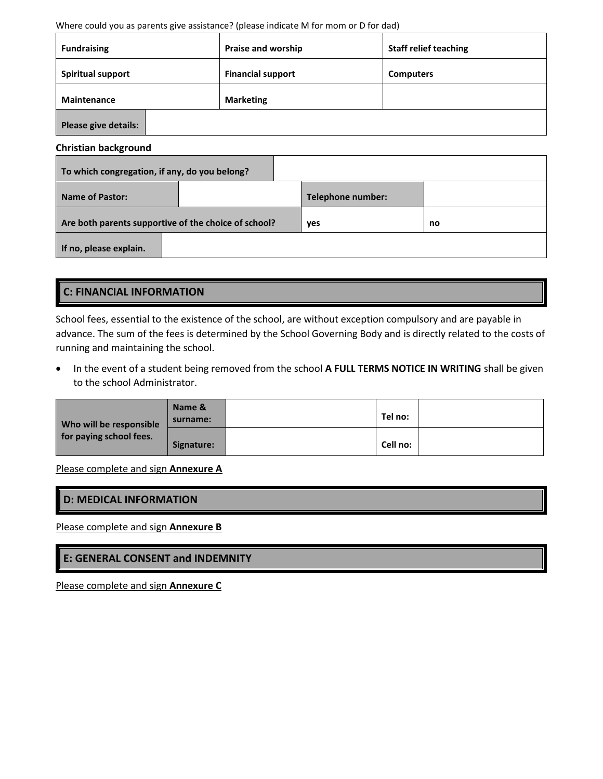#### Where could you as parents give assistance? (please indicate M for mom or D for dad)

| <b>Fundraising</b>          | Praise and worship       | <b>Staff relief teaching</b> |
|-----------------------------|--------------------------|------------------------------|
| <b>Spiritual support</b>    | <b>Financial support</b> | <b>Computers</b>             |
| Maintenance                 | <b>Marketing</b>         |                              |
| <b>Please give details:</b> |                          |                              |

#### **Christian background**

| To which congregation, if any, do you belong?        |  |                          |    |  |  |  |
|------------------------------------------------------|--|--------------------------|----|--|--|--|
| <b>Name of Pastor:</b>                               |  | <b>Telephone number:</b> |    |  |  |  |
| Are both parents supportive of the choice of school? |  | yes                      | no |  |  |  |
| If no, please explain.                               |  |                          |    |  |  |  |

## **C: FINANCIAL INFORMATION**

School fees, essential to the existence of the school, are without exception compulsory and are payable in advance. The sum of the fees is determined by the School Governing Body and is directly related to the costs of running and maintaining the school.

• In the event of a student being removed from the school **A FULL TERMS NOTICE IN WRITING** shall be given to the school Administrator.

| Who will be responsible | Name &<br>surname: | Tel no:  |  |
|-------------------------|--------------------|----------|--|
| for paying school fees. | Signature:         | Cell no: |  |

Please complete and sign **Annexure A**

| <b>D: MEDICAL INFORMATION</b> |  |
|-------------------------------|--|
|                               |  |

Please complete and sign **Annexure B**

#### **E: GENERAL CONSENT and INDEMNITY**

Please complete and sign **Annexure C**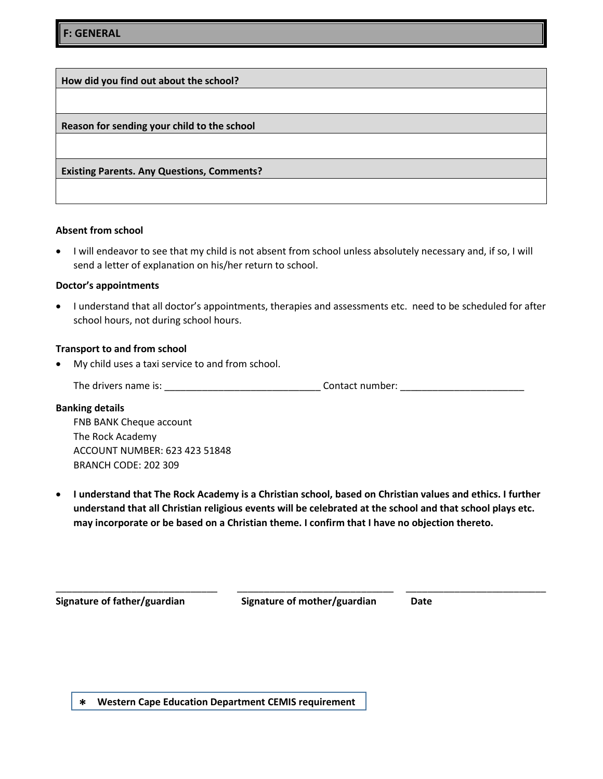**How did you find out about the school? Reason for sending your child to the school Existing Parents. Any Questions, Comments?**

#### **Absent from school**

 I will endeavor to see that my child is not absent from school unless absolutely necessary and, if so, I will send a letter of explanation on his/her return to school.

#### **Doctor's appointments**

• I understand that all doctor's appointments, therapies and assessments etc. need to be scheduled for after school hours, not during school hours.

#### **Transport to and from school**

My child uses a taxi service to and from school.

The drivers name is: \_\_\_\_\_\_\_\_\_\_\_\_\_\_\_\_\_\_\_\_\_\_\_\_\_\_\_\_\_ Contact number: \_\_\_\_\_\_\_\_\_\_\_\_\_\_\_\_\_\_\_\_\_\_\_

#### **Banking details**

FNB BANK Cheque account The Rock Academy ACCOUNT NUMBER: 623 423 51848 BRANCH CODE: 202 309

 **I understand that The Rock Academy is a Christian school, based on Christian values and ethics. I further understand that all Christian religious events will be celebrated at the school and that school plays etc. may incorporate or be based on a Christian theme. I confirm that I have no objection thereto.**

**Signature of father/guardian Signature of mother/guardian Date**

\_\_\_\_\_\_\_\_\_\_\_\_\_\_\_\_\_\_\_\_\_\_\_\_\_\_\_\_\_\_ \_\_\_\_\_\_\_\_\_\_\_\_\_\_\_\_\_\_\_\_\_\_\_\_\_\_\_\_\_ \_\_\_\_\_\_\_\_\_\_\_\_\_\_\_\_\_\_\_\_\_\_\_\_\_\_

**\* Western Cape Education Department CEMIS requirement**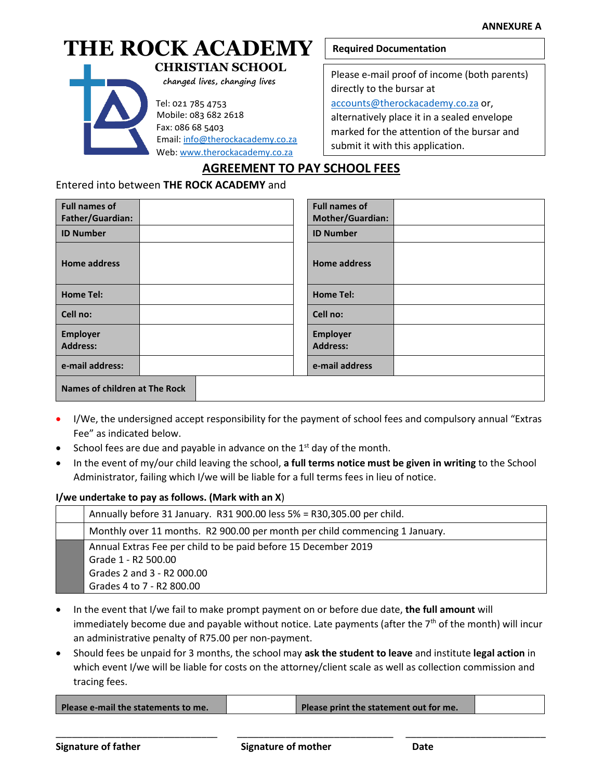## **THE ROCK ACADEMY CHRISTIAN SCHOOL**



 **changed lives, changing lives**

Tel: 021 785 4753

 Mobile: 083 682 2618 Fax: 086 68 5403 Email: [info@therockacademy.co.za](mailto:info@therockacademy.co.za)

Web[: www.therockacademy.co.za](http://www.therockacademy.co.za/)

#### **Required Documentation**

Please e-mail proof of income (both parents) directly to the bursar at [accounts@therockacademy.co.za](mailto:accounts@therockacademy.co.za) or, alternatively place it in a sealed envelope marked for the attention of the bursar and submit it with this application.

#### **AGREEMENT TO PAY SCHOOL FEES**

#### Entered into between **THE ROCK ACADEMY** and

| <b>Full names of</b><br>Father/Guardian: |  | <b>Full names of</b><br>Mother/Guardian: |  |  |
|------------------------------------------|--|------------------------------------------|--|--|
| <b>ID Number</b>                         |  | <b>ID Number</b>                         |  |  |
| <b>Home address</b>                      |  | <b>Home address</b>                      |  |  |
| <b>Home Tel:</b>                         |  | <b>Home Tel:</b>                         |  |  |
| Cell no:                                 |  | Cell no:                                 |  |  |
| Employer<br><b>Address:</b>              |  | <b>Employer</b><br><b>Address:</b>       |  |  |
| e-mail address:                          |  | e-mail address                           |  |  |
| <b>Names of children at The Rock</b>     |  |                                          |  |  |

- I/We, the undersigned accept responsibility for the payment of school fees and compulsory annual "Extras Fee" as indicated below.
- School fees are due and payable in advance on the  $1<sup>st</sup>$  day of the month.
- In the event of my/our child leaving the school, **a full terms notice must be given in writing** to the School Administrator, failing which I/we will be liable for a full terms fees in lieu of notice.

#### **I/we undertake to pay as follows. (Mark with an X**)

| Annually before 31 January. R31 900.00 less 5% = R30,305.00 per child.      |  |
|-----------------------------------------------------------------------------|--|
| Monthly over 11 months. R2 900.00 per month per child commencing 1 January. |  |
| Annual Extras Fee per child to be paid before 15 December 2019              |  |
| Grade 1 - R2 500.00                                                         |  |
| Grades 2 and 3 - R2 000.00                                                  |  |
| Grades 4 to 7 - R2 800.00                                                   |  |

- In the event that I/we fail to make prompt payment on or before due date, **the full amount** will immediately become due and payable without notice. Late payments (after the  $7<sup>th</sup>$  of the month) will incur an administrative penalty of R75.00 per non-payment.
- Should fees be unpaid for 3 months, the school may **ask the student to leave** and institute **legal action** in which event I/we will be liable for costs on the attorney/client scale as well as collection commission and tracing fees.

\_\_\_\_\_\_\_\_\_\_\_\_\_\_\_\_\_\_\_\_\_\_\_\_\_\_\_\_\_\_ \_\_\_\_\_\_\_\_\_\_\_\_\_\_\_\_\_\_\_\_\_\_\_\_\_\_\_\_\_ \_\_\_\_\_\_\_\_\_\_\_\_\_\_\_\_\_\_\_\_\_\_\_\_\_\_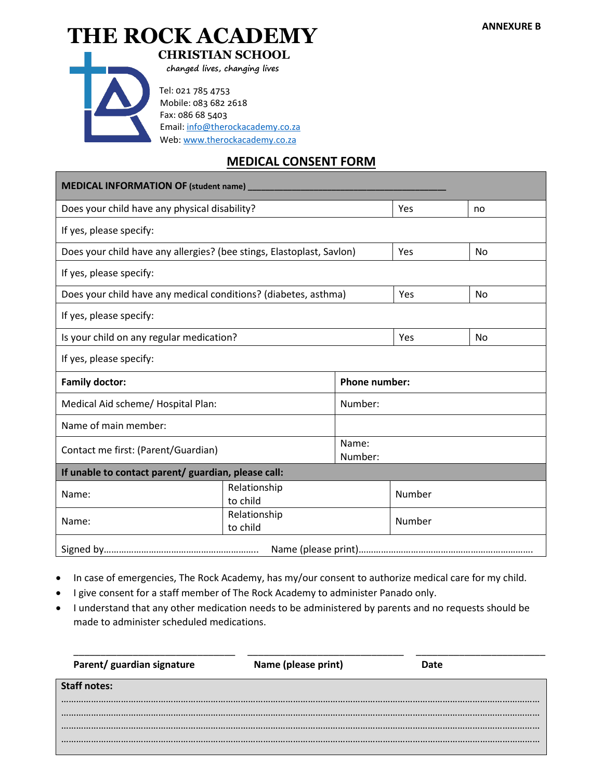# **THE ROCK ACADEMY** ANNEXURE B



 **CHRISTIAN SCHOOL**

 **changed lives, changing lives**

 Tel: 021 785 4753 Mobile: 083 682 2618 Fax: 086 68 5403 Email[: info@therockacademy.co.za](mailto:info@therockacademy.co.za) Web: [www.therockacademy.co.za](http://www.therockacademy.co.za/)

#### **MEDICAL CONSENT FORM**

| MEDICAL INFORMATION OF (student name) _________                       |                          |                      |        |           |  |
|-----------------------------------------------------------------------|--------------------------|----------------------|--------|-----------|--|
| Does your child have any physical disability?                         |                          | Yes                  | no     |           |  |
| If yes, please specify:                                               |                          |                      |        |           |  |
| Does your child have any allergies? (bee stings, Elastoplast, Savlon) |                          |                      | Yes    | <b>No</b> |  |
| If yes, please specify:                                               |                          |                      |        |           |  |
| Does your child have any medical conditions? (diabetes, asthma)       |                          |                      | Yes    | No        |  |
| If yes, please specify:                                               |                          |                      |        |           |  |
| Is your child on any regular medication?                              |                          |                      | Yes    | <b>No</b> |  |
| If yes, please specify:                                               |                          |                      |        |           |  |
| <b>Family doctor:</b>                                                 |                          | <b>Phone number:</b> |        |           |  |
| Medical Aid scheme/ Hospital Plan:                                    |                          | Number:              |        |           |  |
| Name of main member:                                                  |                          |                      |        |           |  |
| Contact me first: (Parent/Guardian)                                   |                          | Name:<br>Number:     |        |           |  |
| If unable to contact parent/ guardian, please call:                   |                          |                      |        |           |  |
| Name:                                                                 | Relationship<br>to child |                      | Number |           |  |
| Relationship<br>Name:<br>to child                                     |                          |                      | Number |           |  |
|                                                                       |                          |                      |        |           |  |

- In case of emergencies, The Rock Academy, has my/our consent to authorize medical care for my child.
- I give consent for a staff member of The Rock Academy to administer Panado only.
- I understand that any other medication needs to be administered by parents and no requests should be made to administer scheduled medications.

| Parent/ guardian signature | Name (please print) | Date |
|----------------------------|---------------------|------|
| <b>Staff notes:</b>        |                     |      |
|                            |                     |      |
|                            |                     |      |
|                            |                     |      |